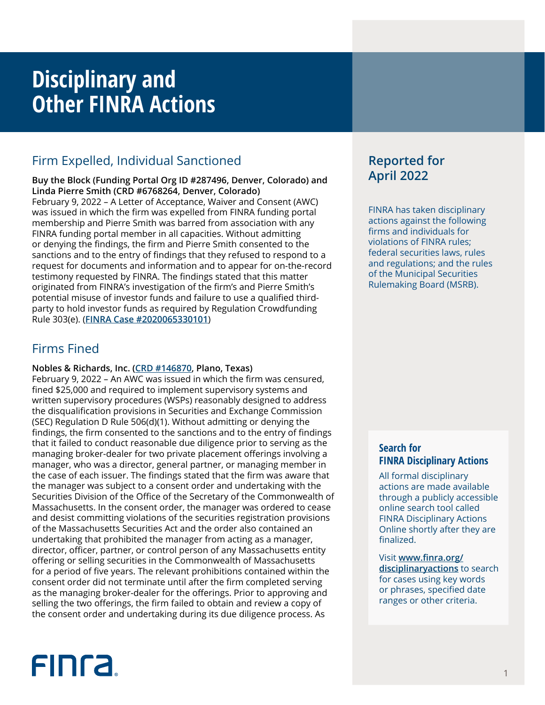## **Disciplinary and Other FINRA Actions**

## Firm Expelled, Individual Sanctioned

**Buy the Block (Funding Portal Org ID #287496, Denver, Colorado) and Linda Pierre Smith (CRD #6768264, Denver, Colorado)** February 9, 2022 – A Letter of Acceptance, Waiver and Consent (AWC) was issued in which the firm was expelled from FINRA funding portal membership and Pierre Smith was barred from association with any FINRA funding portal member in all capacities. Without admitting or denying the findings, the firm and Pierre Smith consented to the sanctions and to the entry of findings that they refused to respond to a request for documents and information and to appear for on-the-record testimony requested by FINRA. The findings stated that this matter originated from FINRA's investigation of the firm's and Pierre Smith's potential misuse of investor funds and failure to use a qualified thirdparty to hold investor funds as required by Regulation Crowdfunding Rule 303(e). (**[FINRA Case #2020065330101](https://www.finra.org/rules-guidance/oversight-enforcement/finra-disciplinary-actions?search=2020065330101)**)

## Firms Fined

## **Nobles & Richards, Inc. [\(CRD #146870](http://brokercheck.finra.org/firm/summary/146870), Plano, Texas)**

February 9, 2022 – An AWC was issued in which the firm was censured, fined \$25,000 and required to implement supervisory systems and written supervisory procedures (WSPs) reasonably designed to address the disqualification provisions in Securities and Exchange Commission (SEC) Regulation D Rule 506(d)(1). Without admitting or denying the findings, the firm consented to the sanctions and to the entry of findings that it failed to conduct reasonable due diligence prior to serving as the managing broker-dealer for two private placement offerings involving a manager, who was a director, general partner, or managing member in the case of each issuer. The findings stated that the firm was aware that the manager was subject to a consent order and undertaking with the Securities Division of the Office of the Secretary of the Commonwealth of Massachusetts. In the consent order, the manager was ordered to cease and desist committing violations of the securities registration provisions of the Massachusetts Securities Act and the order also contained an undertaking that prohibited the manager from acting as a manager, director, officer, partner, or control person of any Massachusetts entity offering or selling securities in the Commonwealth of Massachusetts for a period of five years. The relevant prohibitions contained within the consent order did not terminate until after the firm completed serving as the managing broker-dealer for the offerings. Prior to approving and selling the two offerings, the firm failed to obtain and review a copy of the consent order and undertaking during its due diligence process. As

# **FINCA**

## **Reported for April 2022**

FINRA has taken disciplinary actions against the following firms and individuals for violations of FINRA rules; federal securities laws, rules and regulations; and the rules of the Municipal Securities Rulemaking Board (MSRB).

## **Search for FINRA Disciplinary Actions**

All formal disciplinary actions are made available through a publicly accessible online search tool called FINRA Disciplinary Actions Online shortly after they are finalized.

Visit **[www.finra.org/](https://www.finra.org/rules-guidance/oversight-enforcement/finra-disciplinary-actions-online) [disciplinaryactions](https://www.finra.org/rules-guidance/oversight-enforcement/finra-disciplinary-actions-online)** to search for cases using key words or phrases, specified date ranges or other criteria.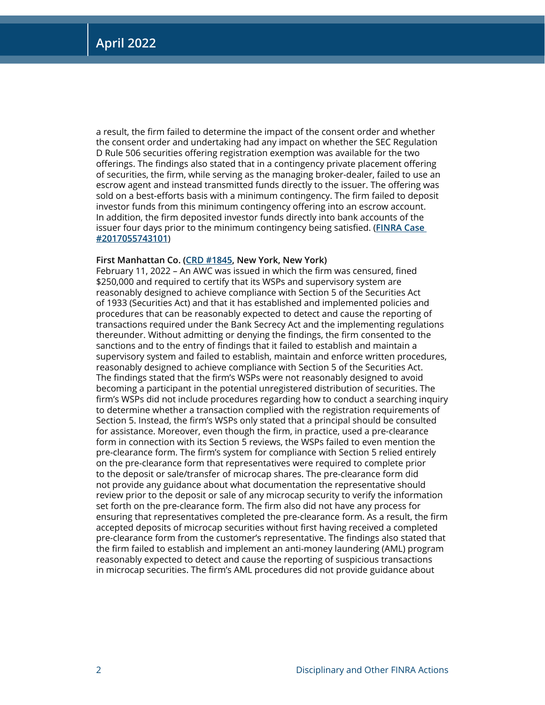a result, the firm failed to determine the impact of the consent order and whether the consent order and undertaking had any impact on whether the SEC Regulation D Rule 506 securities offering registration exemption was available for the two offerings. The findings also stated that in a contingency private placement offering of securities, the firm, while serving as the managing broker-dealer, failed to use an escrow agent and instead transmitted funds directly to the issuer. The offering was sold on a best-efforts basis with a minimum contingency. The firm failed to deposit investor funds from this minimum contingency offering into an escrow account. In addition, the firm deposited investor funds directly into bank accounts of the issuer four days prior to the minimum contingency being satisfied. (**[FINRA Case](https://www.finra.org/rules-guidance/oversight-enforcement/finra-disciplinary-actions?search=2017055743101)  [#2017055743101](https://www.finra.org/rules-guidance/oversight-enforcement/finra-disciplinary-actions?search=2017055743101)**)

## **First Manhattan Co. ([CRD #1845,](http://brokercheck.finra.org/firm/summary/1845) New York, New York)**

February 11, 2022 – An AWC was issued in which the firm was censured, fined \$250,000 and required to certify that its WSPs and supervisory system are reasonably designed to achieve compliance with Section 5 of the Securities Act of 1933 (Securities Act) and that it has established and implemented policies and procedures that can be reasonably expected to detect and cause the reporting of transactions required under the Bank Secrecy Act and the implementing regulations thereunder. Without admitting or denying the findings, the firm consented to the sanctions and to the entry of findings that it failed to establish and maintain a supervisory system and failed to establish, maintain and enforce written procedures, reasonably designed to achieve compliance with Section 5 of the Securities Act. The findings stated that the firm's WSPs were not reasonably designed to avoid becoming a participant in the potential unregistered distribution of securities. The firm's WSPs did not include procedures regarding how to conduct a searching inquiry to determine whether a transaction complied with the registration requirements of Section 5. Instead, the firm's WSPs only stated that a principal should be consulted for assistance. Moreover, even though the firm, in practice, used a pre-clearance form in connection with its Section 5 reviews, the WSPs failed to even mention the pre-clearance form. The firm's system for compliance with Section 5 relied entirely on the pre-clearance form that representatives were required to complete prior to the deposit or sale/transfer of microcap shares. The pre-clearance form did not provide any guidance about what documentation the representative should review prior to the deposit or sale of any microcap security to verify the information set forth on the pre-clearance form. The firm also did not have any process for ensuring that representatives completed the pre-clearance form. As a result, the firm accepted deposits of microcap securities without first having received a completed pre-clearance form from the customer's representative. The findings also stated that the firm failed to establish and implement an anti-money laundering (AML) program reasonably expected to detect and cause the reporting of suspicious transactions in microcap securities. The firm's AML procedures did not provide guidance about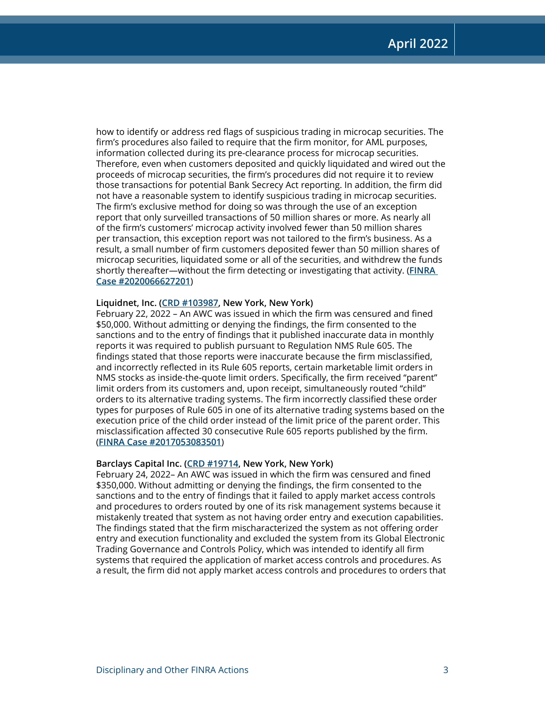how to identify or address red flags of suspicious trading in microcap securities. The firm's procedures also failed to require that the firm monitor, for AML purposes, information collected during its pre-clearance process for microcap securities. Therefore, even when customers deposited and quickly liquidated and wired out the proceeds of microcap securities, the firm's procedures did not require it to review those transactions for potential Bank Secrecy Act reporting. In addition, the firm did not have a reasonable system to identify suspicious trading in microcap securities. The firm's exclusive method for doing so was through the use of an exception report that only surveilled transactions of 50 million shares or more. As nearly all of the firm's customers' microcap activity involved fewer than 50 million shares per transaction, this exception report was not tailored to the firm's business. As a result, a small number of firm customers deposited fewer than 50 million shares of microcap securities, liquidated some or all of the securities, and withdrew the funds shortly thereafter—without the firm detecting or investigating that activity. (**[FINRA](https://www.finra.org/rules-guidance/oversight-enforcement/finra-disciplinary-actions?search=2020066627201)  [Case #2020066627201](https://www.finra.org/rules-guidance/oversight-enforcement/finra-disciplinary-actions?search=2020066627201)**)

## **Liquidnet, Inc. ([CRD #103987](http://brokercheck.finra.org/firm/summary/103987), New York, New York)**

February 22, 2022 – An AWC was issued in which the firm was censured and fined \$50,000. Without admitting or denying the findings, the firm consented to the sanctions and to the entry of findings that it published inaccurate data in monthly reports it was required to publish pursuant to Regulation NMS Rule 605. The findings stated that those reports were inaccurate because the firm misclassified, and incorrectly reflected in its Rule 605 reports, certain marketable limit orders in NMS stocks as inside-the-quote limit orders. Specifically, the firm received "parent" limit orders from its customers and, upon receipt, simultaneously routed "child" orders to its alternative trading systems. The firm incorrectly classified these order types for purposes of Rule 605 in one of its alternative trading systems based on the execution price of the child order instead of the limit price of the parent order. This misclassification affected 30 consecutive Rule 605 reports published by the firm. (**[FINRA Case #2017053083501](https://www.finra.org/rules-guidance/oversight-enforcement/finra-disciplinary-actions?search=2017053083501)**)

#### **Barclays Capital Inc. [\(CRD #19714,](http://brokercheck.finra.org/firm/summary/19714) New York, New York)**

February 24, 2022– An AWC was issued in which the firm was censured and fined \$350,000. Without admitting or denying the findings, the firm consented to the sanctions and to the entry of findings that it failed to apply market access controls and procedures to orders routed by one of its risk management systems because it mistakenly treated that system as not having order entry and execution capabilities. The findings stated that the firm mischaracterized the system as not offering order entry and execution functionality and excluded the system from its Global Electronic Trading Governance and Controls Policy, which was intended to identify all firm systems that required the application of market access controls and procedures. As a result, the firm did not apply market access controls and procedures to orders that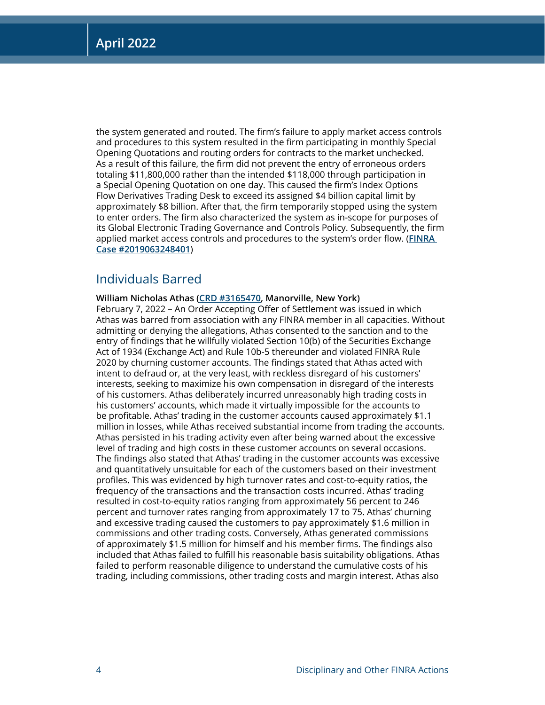the system generated and routed. The firm's failure to apply market access controls and procedures to this system resulted in the firm participating in monthly Special Opening Quotations and routing orders for contracts to the market unchecked. As a result of this failure, the firm did not prevent the entry of erroneous orders totaling \$11,800,000 rather than the intended \$118,000 through participation in a Special Opening Quotation on one day. This caused the firm's Index Options Flow Derivatives Trading Desk to exceed its assigned \$4 billion capital limit by approximately \$8 billion. After that, the firm temporarily stopped using the system to enter orders. The firm also characterized the system as in-scope for purposes of its Global Electronic Trading Governance and Controls Policy. Subsequently, the firm applied market access controls and procedures to the system's order flow. (**[FINRA](https://www.finra.org/rules-guidance/oversight-enforcement/finra-disciplinary-actions?search=2019063248401)  [Case #2019063248401](https://www.finra.org/rules-guidance/oversight-enforcement/finra-disciplinary-actions?search=2019063248401)**)

## Individuals Barred

## **William Nicholas Athas ([CRD #3165470](http://brokercheck.finra.org/individual/summary/3165470), Manorville, New York)**

February 7, 2022 – An Order Accepting Offer of Settlement was issued in which Athas was barred from association with any FINRA member in all capacities. Without admitting or denying the allegations, Athas consented to the sanction and to the entry of findings that he willfully violated Section 10(b) of the Securities Exchange Act of 1934 (Exchange Act) and Rule 10b-5 thereunder and violated FINRA Rule 2020 by churning customer accounts. The findings stated that Athas acted with intent to defraud or, at the very least, with reckless disregard of his customers' interests, seeking to maximize his own compensation in disregard of the interests of his customers. Athas deliberately incurred unreasonably high trading costs in his customers' accounts, which made it virtually impossible for the accounts to be profitable. Athas' trading in the customer accounts caused approximately \$1.1 million in losses, while Athas received substantial income from trading the accounts. Athas persisted in his trading activity even after being warned about the excessive level of trading and high costs in these customer accounts on several occasions. The findings also stated that Athas' trading in the customer accounts was excessive and quantitatively unsuitable for each of the customers based on their investment profiles. This was evidenced by high turnover rates and cost-to-equity ratios, the frequency of the transactions and the transaction costs incurred. Athas' trading resulted in cost-to-equity ratios ranging from approximately 56 percent to 246 percent and turnover rates ranging from approximately 17 to 75. Athas' churning and excessive trading caused the customers to pay approximately \$1.6 million in commissions and other trading costs. Conversely, Athas generated commissions of approximately \$1.5 million for himself and his member firms. The findings also included that Athas failed to fulfill his reasonable basis suitability obligations. Athas failed to perform reasonable diligence to understand the cumulative costs of his trading, including commissions, other trading costs and margin interest. Athas also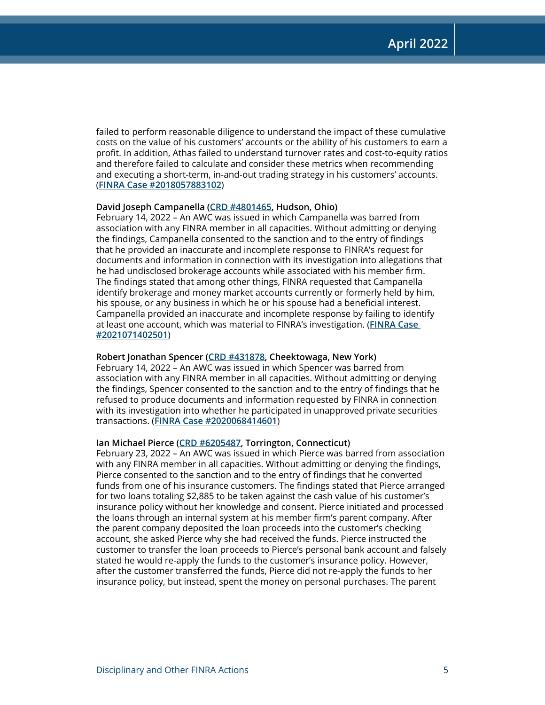failed to perform reasonable diligence to understand the impact of these cumulative costs on the value of his customers' accounts or the ability of his customers to earn a profit. In addition, Athas failed to understand turnover rates and cost-to-equity ratios and therefore failed to calculate and consider these metrics when recommending and executing a short-term, in-and-out trading strategy in his customers' accounts. (**[FINRA Case #2018057883102](https://www.finra.org/rules-guidance/oversight-enforcement/finra-disciplinary-actions?search=2018057883102)**)

## **David Joseph Campanella [\(CRD #4801465](http://brokercheck.finra.org/individual/summary/4801465), Hudson, Ohio)**

February 14, 2022 – An AWC was issued in which Campanella was barred from association with any FINRA member in all capacities. Without admitting or denying the findings, Campanella consented to the sanction and to the entry of findings that he provided an inaccurate and incomplete response to FINRA's request for documents and information in connection with its investigation into allegations that he had undisclosed brokerage accounts while associated with his member firm. The findings stated that among other things, FINRA requested that Campanella identify brokerage and money market accounts currently or formerly held by him, his spouse, or any business in which he or his spouse had a beneficial interest. Campanella provided an inaccurate and incomplete response by failing to identify at least one account, which was material to FINRA's investigation. (**[FINRA Case](https://www.finra.org/rules-guidance/oversight-enforcement/finra-disciplinary-actions?search=2021071402501)  [#2021071402501](https://www.finra.org/rules-guidance/oversight-enforcement/finra-disciplinary-actions?search=2021071402501)**)

## **Robert Jonathan Spencer [\(CRD #431878,](http://brokercheck.finra.org/individual/summary/431878) Cheektowaga, New York)**

February 14, 2022 – An AWC was issued in which Spencer was barred from association with any FINRA member in all capacities. Without admitting or denying the findings, Spencer consented to the sanction and to the entry of findings that he refused to produce documents and information requested by FINRA in connection with its investigation into whether he participated in unapproved private securities transactions. (**[FINRA Case #2020068414601](https://www.finra.org/rules-guidance/oversight-enforcement/finra-disciplinary-actions?search=2020068414601)**)

## **Ian Michael Pierce ([CRD #6205487,](http://brokercheck.finra.org/individual/summary/6205487) Torrington, Connecticut)**

February 23, 2022 – An AWC was issued in which Pierce was barred from association with any FINRA member in all capacities. Without admitting or denying the findings, Pierce consented to the sanction and to the entry of findings that he converted funds from one of his insurance customers. The findings stated that Pierce arranged for two loans totaling \$2,885 to be taken against the cash value of his customer's insurance policy without her knowledge and consent. Pierce initiated and processed the loans through an internal system at his member firm's parent company. After the parent company deposited the loan proceeds into the customer's checking account, she asked Pierce why she had received the funds. Pierce instructed the customer to transfer the loan proceeds to Pierce's personal bank account and falsely stated he would re-apply the funds to the customer's insurance policy. However, after the customer transferred the funds, Pierce did not re-apply the funds to her insurance policy, but instead, spent the money on personal purchases. The parent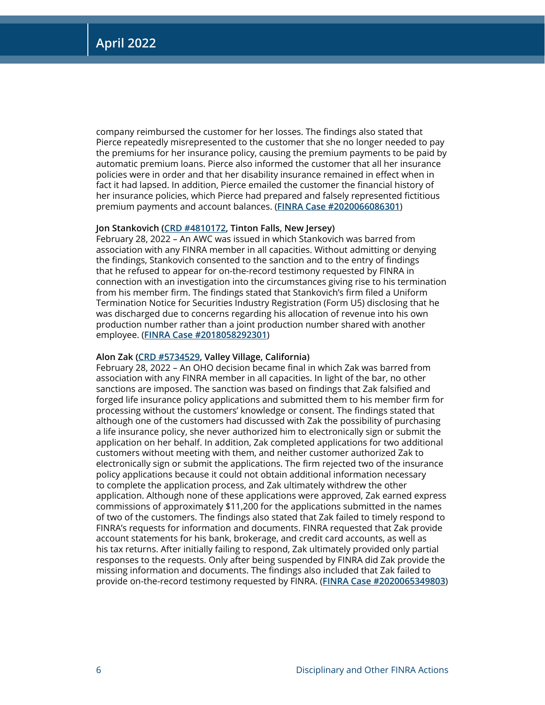company reimbursed the customer for her losses. The findings also stated that Pierce repeatedly misrepresented to the customer that she no longer needed to pay the premiums for her insurance policy, causing the premium payments to be paid by automatic premium loans. Pierce also informed the customer that all her insurance policies were in order and that her disability insurance remained in effect when in fact it had lapsed. In addition, Pierce emailed the customer the financial history of her insurance policies, which Pierce had prepared and falsely represented fictitious premium payments and account balances. (**[FINRA Case #2020066086301](https://www.finra.org/rules-guidance/oversight-enforcement/finra-disciplinary-actions?search=2020066086301)**)

## **Jon Stankovich ([CRD #4810172,](http://brokercheck.finra.org/individual/summary/4810172) Tinton Falls, New Jersey)**

February 28, 2022 – An AWC was issued in which Stankovich was barred from association with any FINRA member in all capacities. Without admitting or denying the findings, Stankovich consented to the sanction and to the entry of findings that he refused to appear for on-the-record testimony requested by FINRA in connection with an investigation into the circumstances giving rise to his termination from his member firm. The findings stated that Stankovich's firm filed a Uniform Termination Notice for Securities Industry Registration (Form U5) disclosing that he was discharged due to concerns regarding his allocation of revenue into his own production number rather than a joint production number shared with another employee. (**[FINRA Case #2018058292301](https://www.finra.org/rules-guidance/oversight-enforcement/finra-disciplinary-actions?search=2018058292301)**)

## **Alon Zak [\(CRD #5734529,](http://brokercheck.finra.org/individual/summary/5734529) Valley Village, California)**

February 28, 2022 – An OHO decision became final in which Zak was barred from association with any FINRA member in all capacities. In light of the bar, no other sanctions are imposed. The sanction was based on findings that Zak falsified and forged life insurance policy applications and submitted them to his member firm for processing without the customers' knowledge or consent. The findings stated that although one of the customers had discussed with Zak the possibility of purchasing a life insurance policy, she never authorized him to electronically sign or submit the application on her behalf. In addition, Zak completed applications for two additional customers without meeting with them, and neither customer authorized Zak to electronically sign or submit the applications. The firm rejected two of the insurance policy applications because it could not obtain additional information necessary to complete the application process, and Zak ultimately withdrew the other application. Although none of these applications were approved, Zak earned express commissions of approximately \$11,200 for the applications submitted in the names of two of the customers. The findings also stated that Zak failed to timely respond to FINRA's requests for information and documents. FINRA requested that Zak provide account statements for his bank, brokerage, and credit card accounts, as well as his tax returns. After initially failing to respond, Zak ultimately provided only partial responses to the requests. Only after being suspended by FINRA did Zak provide the missing information and documents. The findings also included that Zak failed to provide on-the-record testimony requested by FINRA. (**[FINRA Case #2020065349803](https://www.finra.org/rules-guidance/oversight-enforcement/finra-disciplinary-actions?search=2020065349803)**)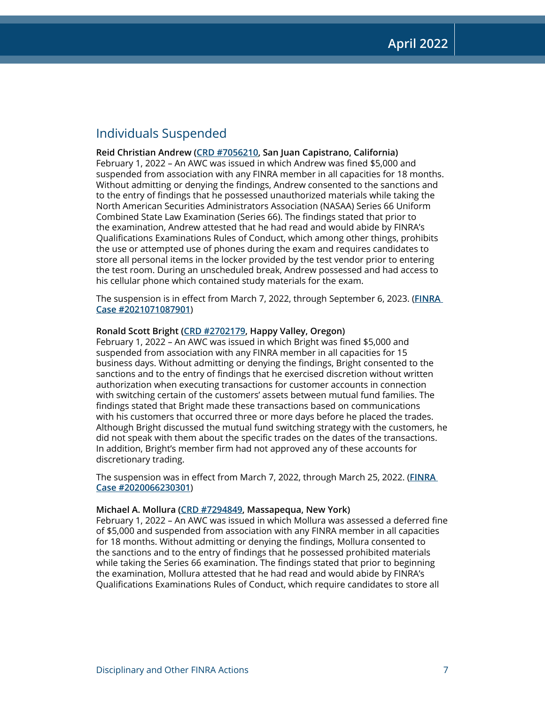## Individuals Suspended

**Reid Christian Andrew [\(CRD #7056210](http://brokercheck.finra.org/individual/summary/7056210), San Juan Capistrano, California)** February 1, 2022 – An AWC was issued in which Andrew was fined \$5,000 and suspended from association with any FINRA member in all capacities for 18 months. Without admitting or denying the findings, Andrew consented to the sanctions and to the entry of findings that he possessed unauthorized materials while taking the North American Securities Administrators Association (NASAA) Series 66 Uniform Combined State Law Examination (Series 66). The findings stated that prior to the examination, Andrew attested that he had read and would abide by FINRA's Qualifications Examinations Rules of Conduct, which among other things, prohibits the use or attempted use of phones during the exam and requires candidates to store all personal items in the locker provided by the test vendor prior to entering the test room. During an unscheduled break, Andrew possessed and had access to his cellular phone which contained study materials for the exam.

The suspension is in effect from March 7, 2022, through September 6, 2023. (**[FINRA](https://www.finra.org/rules-guidance/oversight-enforcement/finra-disciplinary-actions?search=2021071087901)  [Case #2021071087901](https://www.finra.org/rules-guidance/oversight-enforcement/finra-disciplinary-actions?search=2021071087901)**)

## **Ronald Scott Bright ([CRD #2702179,](http://brokercheck.finra.org/individual/summary/2702179) Happy Valley, Oregon)**

February 1, 2022 – An AWC was issued in which Bright was fined \$5,000 and suspended from association with any FINRA member in all capacities for 15 business days. Without admitting or denying the findings, Bright consented to the sanctions and to the entry of findings that he exercised discretion without written authorization when executing transactions for customer accounts in connection with switching certain of the customers' assets between mutual fund families. The findings stated that Bright made these transactions based on communications with his customers that occurred three or more days before he placed the trades. Although Bright discussed the mutual fund switching strategy with the customers, he did not speak with them about the specific trades on the dates of the transactions. In addition, Bright's member firm had not approved any of these accounts for discretionary trading.

The suspension was in effect from March 7, 2022, through March 25, 2022. (**[FINRA](https://www.finra.org/rules-guidance/oversight-enforcement/finra-disciplinary-actions?search=2020066230301)  [Case #2020066230301](https://www.finra.org/rules-guidance/oversight-enforcement/finra-disciplinary-actions?search=2020066230301)**)

## **Michael A. Mollura [\(CRD #7294849](http://brokercheck.finra.org/individual/summary/7294849), Massapequa, New York)**

February 1, 2022 – An AWC was issued in which Mollura was assessed a deferred fine of \$5,000 and suspended from association with any FINRA member in all capacities for 18 months. Without admitting or denying the findings, Mollura consented to the sanctions and to the entry of findings that he possessed prohibited materials while taking the Series 66 examination. The findings stated that prior to beginning the examination, Mollura attested that he had read and would abide by FINRA's Qualifications Examinations Rules of Conduct, which require candidates to store all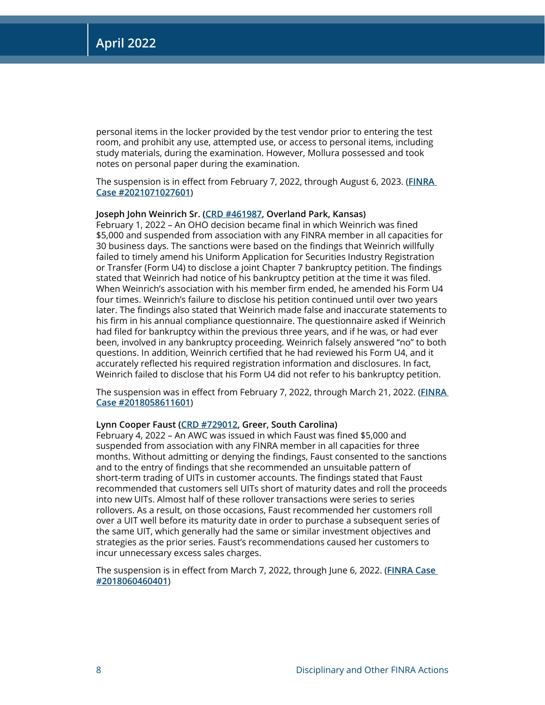personal items in the locker provided by the test vendor prior to entering the test room, and prohibit any use, attempted use, or access to personal items, including study materials, during the examination. However, Mollura possessed and took notes on personal paper during the examination.

The suspension is in effect from February 7, 2022, through August 6, 2023. (**[FINRA](https://www.finra.org/rules-guidance/oversight-enforcement/finra-disciplinary-actions?search=2021071027601)  [Case #2021071027601](https://www.finra.org/rules-guidance/oversight-enforcement/finra-disciplinary-actions?search=2021071027601)**)

## **Joseph John Weinrich Sr. [\(CRD #461987](http://brokercheck.finra.org/individual/summary/461987), Overland Park, Kansas)**

February 1, 2022 – An OHO decision became final in which Weinrich was fined \$5,000 and suspended from association with any FINRA member in all capacities for 30 business days. The sanctions were based on the findings that Weinrich willfully failed to timely amend his Uniform Application for Securities Industry Registration or Transfer (Form U4) to disclose a joint Chapter 7 bankruptcy petition. The findings stated that Weinrich had notice of his bankruptcy petition at the time it was filed. When Weinrich's association with his member firm ended, he amended his Form U4 four times. Weinrich's failure to disclose his petition continued until over two years later. The findings also stated that Weinrich made false and inaccurate statements to his firm in his annual compliance questionnaire. The questionnaire asked if Weinrich had filed for bankruptcy within the previous three years, and if he was, or had ever been, involved in any bankruptcy proceeding. Weinrich falsely answered "no" to both questions. In addition, Weinrich certified that he had reviewed his Form U4, and it accurately reflected his required registration information and disclosures. In fact, Weinrich failed to disclose that his Form U4 did not refer to his bankruptcy petition.

The suspension was in effect from February 7, 2022, through March 21, 2022. (**[FINRA](https://www.finra.org/rules-guidance/oversight-enforcement/finra-disciplinary-actions?search=2018058611601)  [Case #2018058611601](https://www.finra.org/rules-guidance/oversight-enforcement/finra-disciplinary-actions?search=2018058611601)**)

## **Lynn Cooper Faust ([CRD #729012,](http://brokercheck.finra.org/individual/summary/729012) Greer, South Carolina)**

February 4, 2022 – An AWC was issued in which Faust was fined \$5,000 and suspended from association with any FINRA member in all capacities for three months. Without admitting or denying the findings, Faust consented to the sanctions and to the entry of findings that she recommended an unsuitable pattern of short-term trading of UITs in customer accounts. The findings stated that Faust recommended that customers sell UITs short of maturity dates and roll the proceeds into new UITs. Almost half of these rollover transactions were series to series rollovers. As a result, on those occasions, Faust recommended her customers roll over a UIT well before its maturity date in order to purchase a subsequent series of the same UIT, which generally had the same or similar investment objectives and strategies as the prior series. Faust's recommendations caused her customers to incur unnecessary excess sales charges.

The suspension is in effect from March 7, 2022, through June 6, 2022. (**[FINRA Case](https://www.finra.org/rules-guidance/oversight-enforcement/finra-disciplinary-actions?search=2018060460401)  [#2018060460401](https://www.finra.org/rules-guidance/oversight-enforcement/finra-disciplinary-actions?search=2018060460401)**)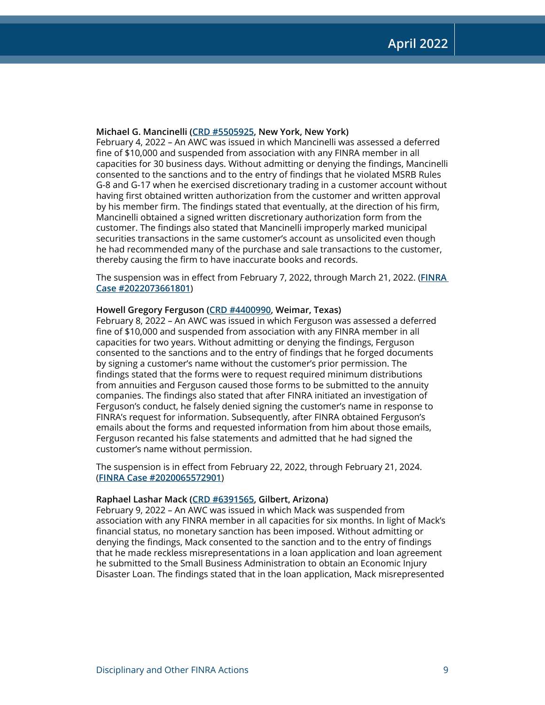#### **Michael G. Mancinelli [\(CRD #5505925](http://brokercheck.finra.org/individual/summary/5505925), New York, New York)**

February 4, 2022 – An AWC was issued in which Mancinelli was assessed a deferred fine of \$10,000 and suspended from association with any FINRA member in all capacities for 30 business days. Without admitting or denying the findings, Mancinelli consented to the sanctions and to the entry of findings that he violated MSRB Rules G-8 and G-17 when he exercised discretionary trading in a customer account without having first obtained written authorization from the customer and written approval by his member firm. The findings stated that eventually, at the direction of his firm, Mancinelli obtained a signed written discretionary authorization form from the customer. The findings also stated that Mancinelli improperly marked municipal securities transactions in the same customer's account as unsolicited even though he had recommended many of the purchase and sale transactions to the customer, thereby causing the firm to have inaccurate books and records.

The suspension was in effect from February 7, 2022, through March 21, 2022. (**[FINRA](https://www.finra.org/rules-guidance/oversight-enforcement/finra-disciplinary-actions?search=2022073661801)  [Case #2022073661801](https://www.finra.org/rules-guidance/oversight-enforcement/finra-disciplinary-actions?search=2022073661801)**)

#### **Howell Gregory Ferguson [\(CRD #4400990](http://brokercheck.finra.org/individual/summary/4400990), Weimar, Texas)**

February 8, 2022 – An AWC was issued in which Ferguson was assessed a deferred fine of \$10,000 and suspended from association with any FINRA member in all capacities for two years. Without admitting or denying the findings, Ferguson consented to the sanctions and to the entry of findings that he forged documents by signing a customer's name without the customer's prior permission. The findings stated that the forms were to request required minimum distributions from annuities and Ferguson caused those forms to be submitted to the annuity companies. The findings also stated that after FINRA initiated an investigation of Ferguson's conduct, he falsely denied signing the customer's name in response to FINRA's request for information. Subsequently, after FINRA obtained Ferguson's emails about the forms and requested information from him about those emails, Ferguson recanted his false statements and admitted that he had signed the customer's name without permission.

The suspension is in effect from February 22, 2022, through February 21, 2024. (**[FINRA Case #2020065572901](https://www.finra.org/rules-guidance/oversight-enforcement/finra-disciplinary-actions?search=2020065572901)**)

## **Raphael Lashar Mack [\(CRD #6391565](http://brokercheck.finra.org/individual/summary/6391565), Gilbert, Arizona)**

February 9, 2022 – An AWC was issued in which Mack was suspended from association with any FINRA member in all capacities for six months. In light of Mack's financial status, no monetary sanction has been imposed. Without admitting or denying the findings, Mack consented to the sanction and to the entry of findings that he made reckless misrepresentations in a loan application and loan agreement he submitted to the Small Business Administration to obtain an Economic Injury Disaster Loan. The findings stated that in the loan application, Mack misrepresented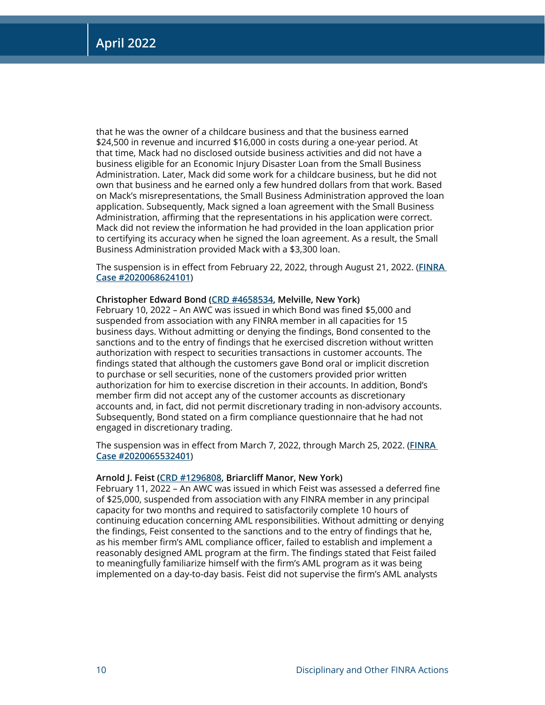that he was the owner of a childcare business and that the business earned \$24,500 in revenue and incurred \$16,000 in costs during a one-year period. At that time, Mack had no disclosed outside business activities and did not have a business eligible for an Economic Injury Disaster Loan from the Small Business Administration. Later, Mack did some work for a childcare business, but he did not own that business and he earned only a few hundred dollars from that work. Based on Mack's misrepresentations, the Small Business Administration approved the loan application. Subsequently, Mack signed a loan agreement with the Small Business Administration, affirming that the representations in his application were correct. Mack did not review the information he had provided in the loan application prior to certifying its accuracy when he signed the loan agreement. As a result, the Small Business Administration provided Mack with a \$3,300 loan.

The suspension is in effect from February 22, 2022, through August 21, 2022. (**[FINRA](https://www.finra.org/rules-guidance/oversight-enforcement/finra-disciplinary-actions?search=2020068624101)  [Case #2020068624101](https://www.finra.org/rules-guidance/oversight-enforcement/finra-disciplinary-actions?search=2020068624101)**)

## **Christopher Edward Bond ([CRD #4658534](http://brokercheck.finra.org/individual/summary/4658534), Melville, New York)**

February 10, 2022 – An AWC was issued in which Bond was fined \$5,000 and suspended from association with any FINRA member in all capacities for 15 business days. Without admitting or denying the findings, Bond consented to the sanctions and to the entry of findings that he exercised discretion without written authorization with respect to securities transactions in customer accounts. The findings stated that although the customers gave Bond oral or implicit discretion to purchase or sell securities, none of the customers provided prior written authorization for him to exercise discretion in their accounts. In addition, Bond's member firm did not accept any of the customer accounts as discretionary accounts and, in fact, did not permit discretionary trading in non-advisory accounts. Subsequently, Bond stated on a firm compliance questionnaire that he had not engaged in discretionary trading.

The suspension was in effect from March 7, 2022, through March 25, 2022. (**[FINRA](https://www.finra.org/rules-guidance/oversight-enforcement/finra-disciplinary-actions?search=2020065532401)  [Case #2020065532401](https://www.finra.org/rules-guidance/oversight-enforcement/finra-disciplinary-actions?search=2020065532401)**)

#### **Arnold J. Feist ([CRD #1296808,](http://brokercheck.finra.org/individual/summary/1296808) Briarcliff Manor, New York)**

February 11, 2022 – An AWC was issued in which Feist was assessed a deferred fine of \$25,000, suspended from association with any FINRA member in any principal capacity for two months and required to satisfactorily complete 10 hours of continuing education concerning AML responsibilities. Without admitting or denying the findings, Feist consented to the sanctions and to the entry of findings that he, as his member firm's AML compliance officer, failed to establish and implement a reasonably designed AML program at the firm. The findings stated that Feist failed to meaningfully familiarize himself with the firm's AML program as it was being implemented on a day-to-day basis. Feist did not supervise the firm's AML analysts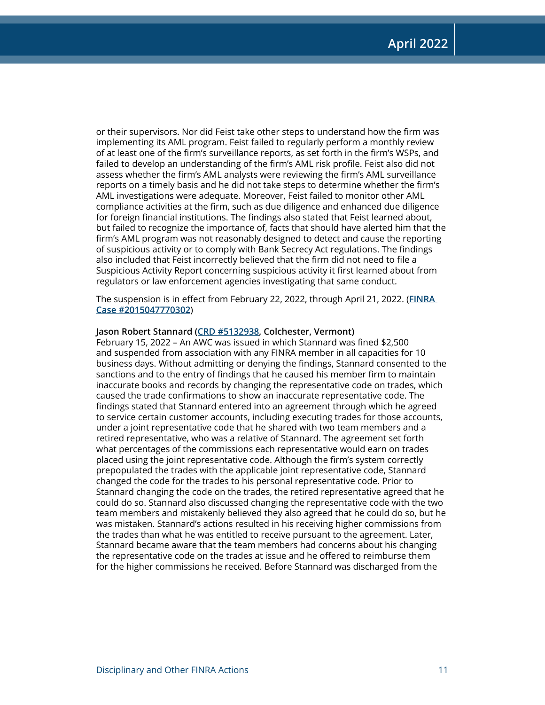or their supervisors. Nor did Feist take other steps to understand how the firm was implementing its AML program. Feist failed to regularly perform a monthly review of at least one of the firm's surveillance reports, as set forth in the firm's WSPs, and failed to develop an understanding of the firm's AML risk profile. Feist also did not assess whether the firm's AML analysts were reviewing the firm's AML surveillance reports on a timely basis and he did not take steps to determine whether the firm's AML investigations were adequate. Moreover, Feist failed to monitor other AML compliance activities at the firm, such as due diligence and enhanced due diligence for foreign financial institutions. The findings also stated that Feist learned about, but failed to recognize the importance of, facts that should have alerted him that the firm's AML program was not reasonably designed to detect and cause the reporting of suspicious activity or to comply with Bank Secrecy Act regulations. The findings also included that Feist incorrectly believed that the firm did not need to file a Suspicious Activity Report concerning suspicious activity it first learned about from regulators or law enforcement agencies investigating that same conduct.

The suspension is in effect from February 22, 2022, through April 21, 2022. (**[FINRA](https://www.finra.org/rules-guidance/oversight-enforcement/finra-disciplinary-actions?search=2015047770302)  [Case #2015047770302](https://www.finra.org/rules-guidance/oversight-enforcement/finra-disciplinary-actions?search=2015047770302)**)

## **Jason Robert Stannard [\(CRD #5132938](http://brokercheck.finra.org/individual/summary/5132938), Colchester, Vermont)**

February 15, 2022 – An AWC was issued in which Stannard was fined \$2,500 and suspended from association with any FINRA member in all capacities for 10 business days. Without admitting or denying the findings, Stannard consented to the sanctions and to the entry of findings that he caused his member firm to maintain inaccurate books and records by changing the representative code on trades, which caused the trade confirmations to show an inaccurate representative code. The findings stated that Stannard entered into an agreement through which he agreed to service certain customer accounts, including executing trades for those accounts, under a joint representative code that he shared with two team members and a retired representative, who was a relative of Stannard. The agreement set forth what percentages of the commissions each representative would earn on trades placed using the joint representative code. Although the firm's system correctly prepopulated the trades with the applicable joint representative code, Stannard changed the code for the trades to his personal representative code. Prior to Stannard changing the code on the trades, the retired representative agreed that he could do so. Stannard also discussed changing the representative code with the two team members and mistakenly believed they also agreed that he could do so, but he was mistaken. Stannard's actions resulted in his receiving higher commissions from the trades than what he was entitled to receive pursuant to the agreement. Later, Stannard became aware that the team members had concerns about his changing the representative code on the trades at issue and he offered to reimburse them for the higher commissions he received. Before Stannard was discharged from the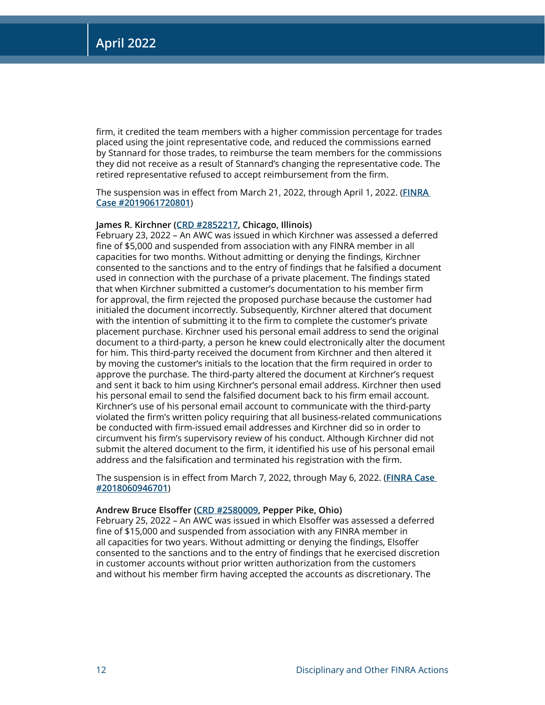firm, it credited the team members with a higher commission percentage for trades placed using the joint representative code, and reduced the commissions earned by Stannard for those trades, to reimburse the team members for the commissions they did not receive as a result of Stannard's changing the representative code. The retired representative refused to accept reimbursement from the firm.

The suspension was in effect from March 21, 2022, through April 1, 2022. (**[FINRA](https://www.finra.org/rules-guidance/oversight-enforcement/finra-disciplinary-actions?search=2019061720801)  [Case #2019061720801](https://www.finra.org/rules-guidance/oversight-enforcement/finra-disciplinary-actions?search=2019061720801)**)

## **James R. Kirchner [\(CRD #2852217](http://brokercheck.finra.org/individual/summary/2852217), Chicago, Illinois)**

February 23, 2022 – An AWC was issued in which Kirchner was assessed a deferred fine of \$5,000 and suspended from association with any FINRA member in all capacities for two months. Without admitting or denying the findings, Kirchner consented to the sanctions and to the entry of findings that he falsified a document used in connection with the purchase of a private placement. The findings stated that when Kirchner submitted a customer's documentation to his member firm for approval, the firm rejected the proposed purchase because the customer had initialed the document incorrectly. Subsequently, Kirchner altered that document with the intention of submitting it to the firm to complete the customer's private placement purchase. Kirchner used his personal email address to send the original document to a third-party, a person he knew could electronically alter the document for him. This third-party received the document from Kirchner and then altered it by moving the customer's initials to the location that the firm required in order to approve the purchase. The third-party altered the document at Kirchner's request and sent it back to him using Kirchner's personal email address. Kirchner then used his personal email to send the falsified document back to his firm email account. Kirchner's use of his personal email account to communicate with the third-party violated the firm's written policy requiring that all business-related communications be conducted with firm-issued email addresses and Kirchner did so in order to circumvent his firm's supervisory review of his conduct. Although Kirchner did not submit the altered document to the firm, it identified his use of his personal email address and the falsification and terminated his registration with the firm.

The suspension is in effect from March 7, 2022, through May 6, 2022. (**[FINRA Case](https://www.finra.org/rules-guidance/oversight-enforcement/finra-disciplinary-actions?search=2018060946701)  [#2018060946701](https://www.finra.org/rules-guidance/oversight-enforcement/finra-disciplinary-actions?search=2018060946701)**)

#### **Andrew Bruce Elsoffer [\(CRD #2580009](http://brokercheck.finra.org/individual/summary/2580009), Pepper Pike, Ohio)**

February 25, 2022 – An AWC was issued in which Elsoffer was assessed a deferred fine of \$15,000 and suspended from association with any FINRA member in all capacities for two years. Without admitting or denying the findings, Elsoffer consented to the sanctions and to the entry of findings that he exercised discretion in customer accounts without prior written authorization from the customers and without his member firm having accepted the accounts as discretionary. The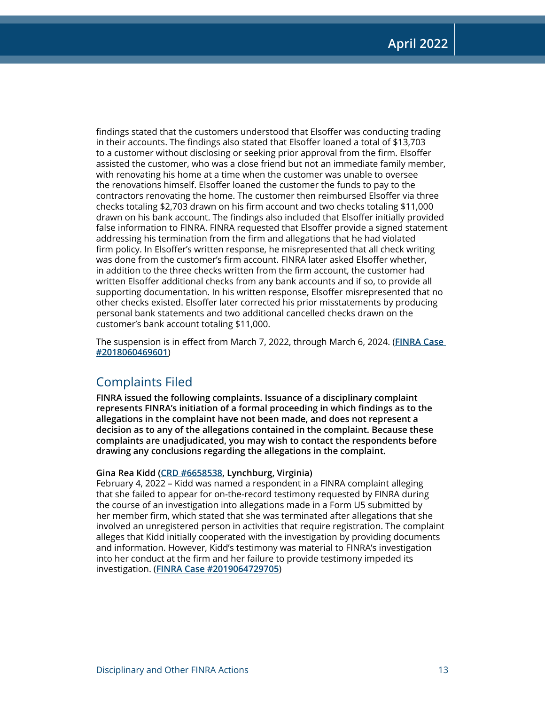findings stated that the customers understood that Elsoffer was conducting trading in their accounts. The findings also stated that Elsoffer loaned a total of \$13,703 to a customer without disclosing or seeking prior approval from the firm. Elsoffer assisted the customer, who was a close friend but not an immediate family member, with renovating his home at a time when the customer was unable to oversee the renovations himself. Elsoffer loaned the customer the funds to pay to the contractors renovating the home. The customer then reimbursed Elsoffer via three checks totaling \$2,703 drawn on his firm account and two checks totaling \$11,000 drawn on his bank account. The findings also included that Elsoffer initially provided false information to FINRA. FINRA requested that Elsoffer provide a signed statement addressing his termination from the firm and allegations that he had violated firm policy. In Elsoffer's written response, he misrepresented that all check writing was done from the customer's firm account. FINRA later asked Elsoffer whether, in addition to the three checks written from the firm account, the customer had written Elsoffer additional checks from any bank accounts and if so, to provide all supporting documentation. In his written response, Elsoffer misrepresented that no other checks existed. Elsoffer later corrected his prior misstatements by producing personal bank statements and two additional cancelled checks drawn on the customer's bank account totaling \$11,000.

The suspension is in effect from March 7, 2022, through March 6, 2024. (**[FINRA Case](https://www.finra.org/rules-guidance/oversight-enforcement/finra-disciplinary-actions?search=2018060469601)  [#2018060469601](https://www.finra.org/rules-guidance/oversight-enforcement/finra-disciplinary-actions?search=2018060469601)**)

## Complaints Filed

**FINRA issued the following complaints. Issuance of a disciplinary complaint represents FINRA's initiation of a formal proceeding in which findings as to the allegations in the complaint have not been made, and does not represent a decision as to any of the allegations contained in the complaint. Because these complaints are unadjudicated, you may wish to contact the respondents before drawing any conclusions regarding the allegations in the complaint.**

## **Gina Rea Kidd ([CRD #6658538,](http://brokercheck.finra.org/individual/summary/6658538) Lynchburg, Virginia)**

February 4, 2022 – Kidd was named a respondent in a FINRA complaint alleging that she failed to appear for on-the-record testimony requested by FINRA during the course of an investigation into allegations made in a Form U5 submitted by her member firm, which stated that she was terminated after allegations that she involved an unregistered person in activities that require registration. The complaint alleges that Kidd initially cooperated with the investigation by providing documents and information. However, Kidd's testimony was material to FINRA's investigation into her conduct at the firm and her failure to provide testimony impeded its investigation. (**[FINRA Case #2019064729705](https://www.finra.org/rules-guidance/oversight-enforcement/finra-disciplinary-actions?search=2019064729705)**)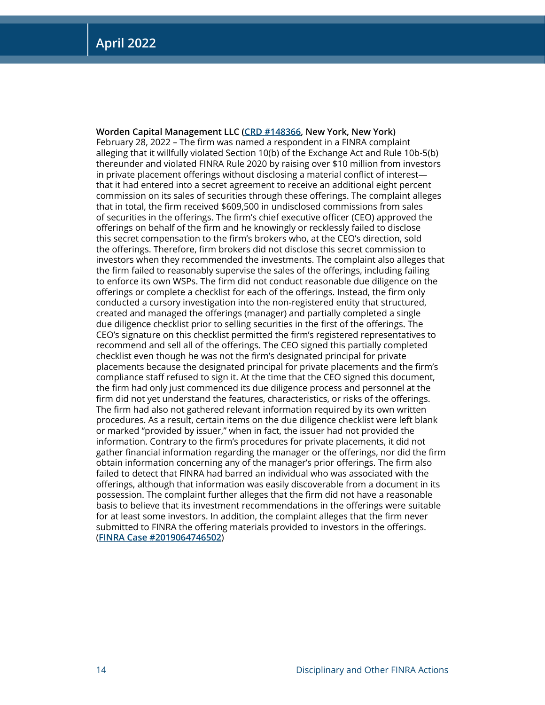**Worden Capital Management LLC ([CRD #148366](http://brokercheck.finra.org/firm/summary/148366), New York, New York)** February 28, 2022 – The firm was named a respondent in a FINRA complaint alleging that it willfully violated Section 10(b) of the Exchange Act and Rule 10b-5(b) thereunder and violated FINRA Rule 2020 by raising over \$10 million from investors in private placement offerings without disclosing a material conflict of interest that it had entered into a secret agreement to receive an additional eight percent commission on its sales of securities through these offerings. The complaint alleges that in total, the firm received \$609,500 in undisclosed commissions from sales of securities in the offerings. The firm's chief executive officer (CEO) approved the offerings on behalf of the firm and he knowingly or recklessly failed to disclose this secret compensation to the firm's brokers who, at the CEO's direction, sold the offerings. Therefore, firm brokers did not disclose this secret commission to investors when they recommended the investments. The complaint also alleges that the firm failed to reasonably supervise the sales of the offerings, including failing to enforce its own WSPs. The firm did not conduct reasonable due diligence on the offerings or complete a checklist for each of the offerings. Instead, the firm only conducted a cursory investigation into the non-registered entity that structured, created and managed the offerings (manager) and partially completed a single due diligence checklist prior to selling securities in the first of the offerings. The CEO's signature on this checklist permitted the firm's registered representatives to recommend and sell all of the offerings. The CEO signed this partially completed checklist even though he was not the firm's designated principal for private placements because the designated principal for private placements and the firm's compliance staff refused to sign it. At the time that the CEO signed this document, the firm had only just commenced its due diligence process and personnel at the firm did not yet understand the features, characteristics, or risks of the offerings. The firm had also not gathered relevant information required by its own written procedures. As a result, certain items on the due diligence checklist were left blank or marked "provided by issuer," when in fact, the issuer had not provided the information. Contrary to the firm's procedures for private placements, it did not gather financial information regarding the manager or the offerings, nor did the firm obtain information concerning any of the manager's prior offerings. The firm also failed to detect that FINRA had barred an individual who was associated with the offerings, although that information was easily discoverable from a document in its possession. The complaint further alleges that the firm did not have a reasonable basis to believe that its investment recommendations in the offerings were suitable for at least some investors. In addition, the complaint alleges that the firm never submitted to FINRA the offering materials provided to investors in the offerings. (**[FINRA Case #2019064746502](https://www.finra.org/rules-guidance/oversight-enforcement/finra-disciplinary-actions?search=2019064746502)**)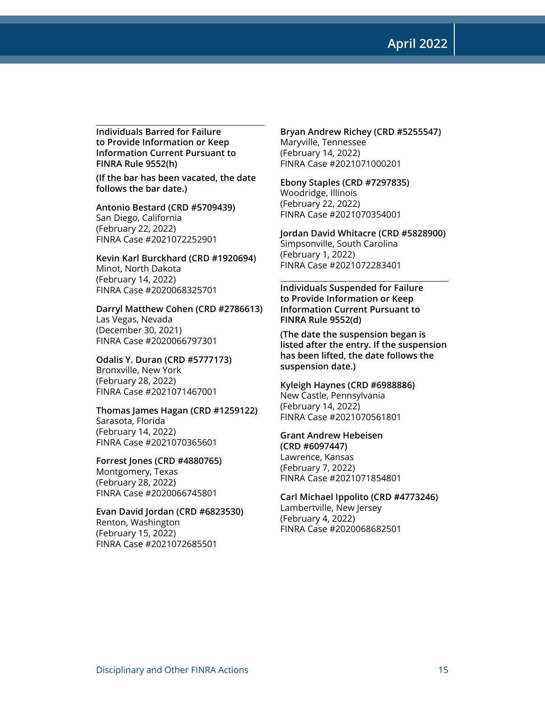**April 2022**

**Individuals Barred for Failure to Provide Information or Keep Information Current Pursuant to FINRA Rule 9552(h)**

**(If the bar has been vacated, the date follows the bar date.)**

**Antonio Bestard (CRD #5709439)** San Diego, California (February 22, 2022) FINRA Case #2021072252901

**Kevin Karl Burckhard (CRD #1920694)** Minot, North Dakota (February 14, 2022) FINRA Case #2020068325701

**Darryl Matthew Cohen (CRD #2786613)** Las Vegas, Nevada (December 30, 2021) FINRA Case #2020066797301

**Odalis Y. Duran (CRD #5777173)** Bronxville, New York (February 28, 2022) FINRA Case #2021071467001

**Thomas James Hagan (CRD #1259122)** Sarasota, Florida (February 14, 2022) FINRA Case #2021070365601

**Forrest Jones (CRD #4880765)** Montgomery, Texas (February 28, 2022) FINRA Case #2020066745801

**Evan David Jordan (CRD #6823530)** Renton, Washington (February 15, 2022) FINRA Case #2021072685501

**Bryan Andrew Richey (CRD #5255547)** Maryville, Tennessee (February 14, 2022) FINRA Case #2021071000201

**Ebony Staples (CRD #7297835)** Woodridge, Illinois (February 22, 2022) FINRA Case #2021070354001

**Jordan David Whitacre (CRD #5828900)** Simpsonville, South Carolina (February 1, 2022) FINRA Case #2021072283401

**Individuals Suspended for Failure to Provide Information or Keep Information Current Pursuant to FINRA Rule 9552(d)** 

**(The date the suspension began is listed after the entry. If the suspension has been lifted, the date follows the suspension date.)**

**Kyleigh Haynes (CRD #6988886)** New Castle, Pennsylvania (February 14, 2022) FINRA Case #2021070561801

**Grant Andrew Hebeisen (CRD #6097447)** Lawrence, Kansas (February 7, 2022) FINRA Case #2021071854801

**Carl Michael Ippolito (CRD #4773246)** Lambertville, New Jersey (February 4, 2022) FINRA Case #2020068682501